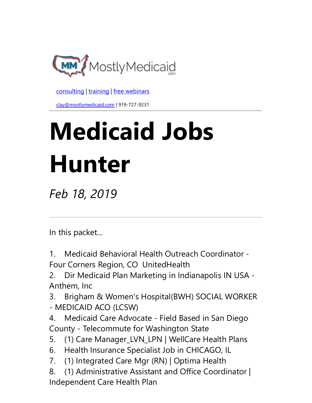

[consulting](http://bit.ly/2L815p0) | [training](http://bit.ly/2zL1l4r) | [free webinars](http://bit.ly/2ccl593) 

[clay@mostlymedicaid.com](mailto:clay@mostlymedicaid.com) | 919-727-9231

# Medicaid Jobs Hunter

Feb 18, 2019

In this packet...

- 1. Medicaid Behavioral Health Outreach Coordinator Four Corners Region, CO UnitedHealth
- 2. Dir Medicaid Plan Marketing in Indianapolis IN USA Anthem, Inc
- 3. Brigham & Women's Hospital(BWH) SOCIAL WORKER - MEDICAID ACO (LCSW)
- 4. Medicaid Care Advocate Field Based in San Diego County - Telecommute for Washington State
- 5. (1) Care Manager\_LVN\_LPN | WellCare Health Plans
- 6. Health Insurance Specialist Job in CHICAGO, IL
- 7. (1) Integrated Care Mgr (RN) | Optima Health
- 8. (1) Administrative Assistant and Office Coordinator | Independent Care Health Plan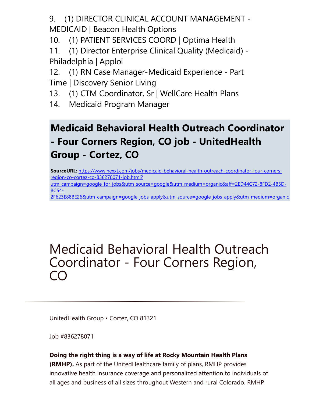9. (1) DIRECTOR CLINICAL ACCOUNT MANAGEMENT - MEDICAID | Beacon Health Options

10. (1) PATIENT SERVICES COORD | Optima Health

11. (1) Director Enterprise Clinical Quality (Medicaid) - Philadelphia | Apploi

12. (1) RN Case Manager-Medicaid Experience - Part Time | Discovery Senior Living

- 13. (1) CTM Coordinator, Sr | WellCare Health Plans
- 14. Medicaid Program Manager

### Medicaid Behavioral Health Outreach Coordinator - Four Corners Region, CO job - UnitedHealth Group - Cortez, CO

SourceURL: https://www.nexxt.com/jobs/medicaid-behavioral-health-outreach-coordinator-four-cornersregion-co-cortez-co-836278071-job.html? utm\_campaign=google\_for\_jobs&utm\_source=google&utm\_medium=organic&aff=2ED44C72-8FD2-4B5D-BC54- [2F623E88BE26&utm\\_campaign=google\\_jobs\\_apply&utm\\_source=google\\_jobs\\_apply&utm\\_medium=organic](https://www.nexxt.com/jobs/medicaid-behavioral-health-outreach-coordinator-four-corners-region-co-cortez-co-836278071-job.html?utm_campaign=google_for_jobs&utm_source=google&utm_medium=organic&aff=2ED44C72-8FD2-4B5D-BC54-2F623E88BE26&utm_campaign=google_jobs_apply&utm_source=google_jobs_apply&utm_medium=organic)

# Medicaid Behavioral Health Outreach Coordinator - Four Corners Region, CO

UnitedHealth Group • Cortez, CO 81321

Job #836278071

#### Doing the right thing is a way of life at Rocky Mountain Health Plans

(RMHP). As part of the UnitedHealthcare family of plans, RMHP provides innovative health insurance coverage and personalized attention to individuals of all ages and business of all sizes throughout Western and rural Colorado. RMHP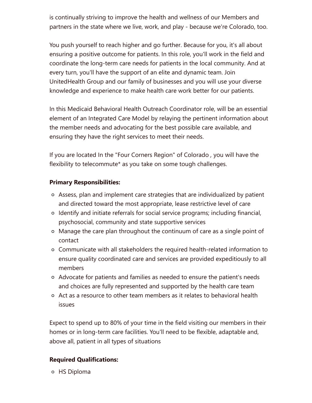is continually striving to improve the health and wellness of our Members and partners in the state where we live, work, and play - because we're Colorado, too.

You push yourself to reach higher and go further. Because for you, it's all about ensuring a positive outcome for patients. In this role, you'll work in the field and coordinate the long-term care needs for patients in the local community. And at every turn, you'll have the support of an elite and dynamic team. Join UnitedHealth Group and our family of businesses and you will use your diverse knowledge and experience to make health care work better for our patients.

In this Medicaid Behavioral Health Outreach Coordinator role, will be an essential element of an Integrated Care Model by relaying the pertinent information about the member needs and advocating for the best possible care available, and ensuring they have the right services to meet their needs.

If you are located In the "Four Corners Region" of Colorado , you will have the flexibility to telecommute\* as you take on some tough challenges.

#### Primary Responsibilities:

- Assess, plan and implement care strategies that are individualized by patient and directed toward the most appropriate, lease restrictive level of care
- Identify and initiate referrals for social service programs; including financial, psychosocial, community and state supportive services
- Manage the care plan throughout the continuum of care as a single point of contact
- Communicate with all stakeholders the required health-related information to ensure quality coordinated care and services are provided expeditiously to all members
- Advocate for patients and families as needed to ensure the patient's needs and choices are fully represented and supported by the health care team
- Act as a resource to other team members as it relates to behavioral health issues

Expect to spend up to 80% of your time in the field visiting our members in their homes or in long-term care facilities. You'll need to be flexible, adaptable and, above all, patient in all types of situations

#### Required Qualifications:

HS Diploma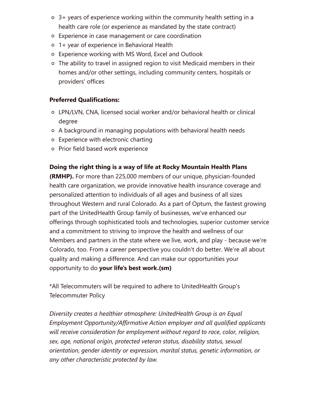- 3+ years of experience working within the community health setting in a health care role (or experience as mandated by the state contract)
- Experience in case management or care coordination
- 1+ year of experience in Behavioral Health
- Experience working with MS Word, Excel and Outlook
- The ability to travel in assigned region to visit Medicaid members in their homes and/or other settings, including community centers, hospitals or providers' offices

#### Preferred Qualifications:

- LPN/LVN, CNA, licensed social worker and/or behavioral health or clinical degree
- A background in managing populations with behavioral health needs
- Experience with electronic charting
- Prior field based work experience

#### Doing the right thing is a way of life at Rocky Mountain Health Plans

(RMHP). For more than 225,000 members of our unique, physician-founded health care organization, we provide innovative health insurance coverage and personalized attention to individuals of all ages and business of all sizes throughout Western and rural Colorado. As a part of Optum, the fastest growing part of the UnitedHealth Group family of businesses, we've enhanced our offerings through sophisticated tools and technologies, superior customer service and a commitment to striving to improve the health and wellness of our Members and partners in the state where we live, work, and play - because we're Colorado, too. From a career perspective you couldn't do better. We're all about quality and making a difference. And can make our opportunities your opportunity to do your life's best work.(sm)

\*All Telecommuters will be required to adhere to UnitedHealth Group's Telecommuter Policy

Diversity creates a healthier atmosphere: UnitedHealth Group is an Equal Employment Opportunity/Affirmative Action employer and all qualified applicants will receive consideration for employment without regard to race, color, religion, sex, age, national origin, protected veteran status, disability status, sexual orientation, gender identity or expression, marital status, genetic information, or any other characteristic protected by law.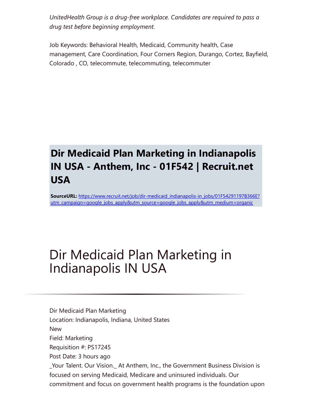UnitedHealth Group is a drug-free workplace. Candidates are required to pass a drug test before beginning employment.

Job Keywords: Behavioral Health, Medicaid, Community health, Case management, Care Coordination, Four Corners Region, Durango, Cortez, Bayfield, Colorado , CO, telecommute, telecommuting, telecommuter

### Dir Medicaid Plan Marketing in Indianapolis IN USA - Anthem, Inc - 01F542 | Recruit.net USA

SourceURL: https://www.recruit.net/job/dir-medicaid\_indianapolis-in\_jobs/01F54291197B366E? [utm\\_campaign=google\\_jobs\\_apply&utm\\_source=google\\_jobs\\_apply&utm\\_medium=organic](https://www.recruit.net/job/dir-medicaid_indianapolis-in_jobs/01F54291197B366E?utm_campaign=google_jobs_apply&utm_source=google_jobs_apply&utm_medium=organic)

# Dir Medicaid Plan Marketing in Indianapolis IN USA

Dir Medicaid Plan Marketing Location: Indianapolis, Indiana, United States New Field: Marketing Requisition #: PS17245 Post Date: 3 hours ago \_Your Talent. Our Vision.\_ At Anthem, Inc., the Government Business Division is focused on serving Medicaid, Medicare and uninsured individuals. Our commitment and focus on government health programs is the foundation upon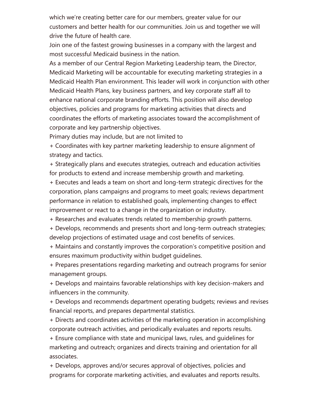which we're creating better care for our members, greater value for our customers and better health for our communities. Join us and together we will drive the future of health care.

Join one of the fastest growing businesses in a company with the largest and most successful Medicaid business in the nation.

As a member of our Central Region Marketing Leadership team, the Director, Medicaid Marketing will be accountable for executing marketing strategies in a Medicaid Health Plan environment. This leader will work in conjunction with other Medicaid Health Plans, key business partners, and key corporate staff all to enhance national corporate branding efforts. This position will also develop objectives, policies and programs for marketing activities that directs and coordinates the efforts of marketing associates toward the accomplishment of corporate and key partnership objectives.

Primary duties may include, but are not limited to

+ Coordinates with key partner marketing leadership to ensure alignment of strategy and tactics.

+ Strategically plans and executes strategies, outreach and education activities for products to extend and increase membership growth and marketing.

+ Executes and leads a team on short and long-term strategic directives for the corporation, plans campaigns and programs to meet goals; reviews department performance in relation to established goals, implementing changes to effect improvement or react to a change in the organization or industry.

+ Researches and evaluates trends related to membership growth patterns.

+ Develops, recommends and presents short and long-term outreach strategies; develop projections of estimated usage and cost benefits of services.

+ Maintains and constantly improves the corporation's competitive position and ensures maximum productivity within budget guidelines.

+ Prepares presentations regarding marketing and outreach programs for senior management groups.

+ Develops and maintains favorable relationships with key decision-makers and influencers in the community.

+ Develops and recommends department operating budgets; reviews and revises financial reports, and prepares departmental statistics.

+ Directs and coordinates activities of the marketing operation in accomplishing corporate outreach activities, and periodically evaluates and reports results.

+ Ensure compliance with state and municipal laws, rules, and guidelines for marketing and outreach; organizes and directs training and orientation for all associates.

+ Develops, approves and/or secures approval of objectives, policies and programs for corporate marketing activities, and evaluates and reports results.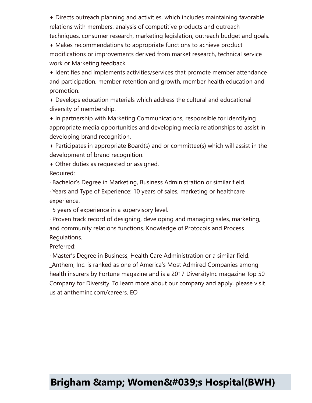+ Directs outreach planning and activities, which includes maintaining favorable relations with members, analysis of competitive products and outreach techniques, consumer research, marketing legislation, outreach budget and goals.

+ Makes recommendations to appropriate functions to achieve product modifications or improvements derived from market research, technical service work or Marketing feedback.

+ Identifies and implements activities/services that promote member attendance and participation, member retention and growth, member health education and promotion.

+ Develops education materials which address the cultural and educational diversity of membership.

+ In partnership with Marketing Communications, responsible for identifying appropriate media opportunities and developing media relationships to assist in developing brand recognition.

+ Participates in appropriate Board(s) and or committee(s) which will assist in the development of brand recognition.

+ Other duties as requested or assigned. Required:

· Bachelor's Degree in Marketing, Business Administration or similar field.

· Years and Type of Experience: 10 years of sales, marketing or healthcare experience.

· 5 years of experience in a supervisory level.

· Proven track record of designing, developing and managing sales, marketing, and community relations functions. Knowledge of Protocols and Process Regulations.

Preferred:

· Master's Degree in Business, Health Care Administration or a similar field. \_Anthem, Inc. is ranked as one of America's Most Admired Companies among health insurers by Fortune magazine and is a 2017 Diversity Inc magazine Top 50 Company for Diversity. To learn more about our company and apply, please visit us at antheminc.com/careers. EO

### Brigham & amp; Women's Hospital(BWH)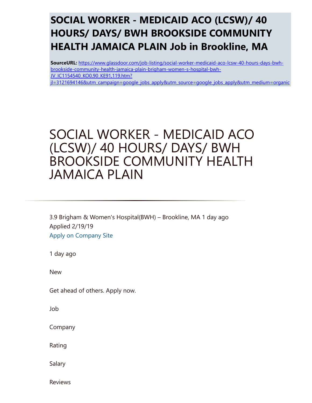### SOCIAL WORKER - MEDICAID ACO (LCSW)/ 40 HOURS/ DAYS/ BWH BROOKSIDE COMMUNITY HEALTH JAMAICA PLAIN Job in Brookline, MA

SourceURL: https://www.glassdoor.com/job-listing/social-worker-medicaid-aco-lcsw-40-hours-days-bwhbrookside-community-health-jamaica-plain-brigham-women-s-hospital-bwh-JV\_IC1154540\_KO0,90\_KE91,119.htm? [jl=3121694146&utm\\_campaign=google\\_jobs\\_apply&utm\\_source=google\\_jobs\\_apply&utm\\_medium=organic](https://www.glassdoor.com/job-listing/social-worker-medicaid-aco-lcsw-40-hours-days-bwh-brookside-community-health-jamaica-plain-brigham-women-s-hospital-bwh-JV_IC1154540_KO0,90_KE91,119.htm?jl=3121694146&utm_campaign=google_jobs_apply&utm_source=google_jobs_apply&utm_medium=organic)

# SOCIAL WORKER - MEDICAID ACO (LCSW)/ 40 HOURS/ DAYS/ BWH BROOKSIDE COMMUNITY HEALTH JAMAICA PLAIN

3.9 Brigham & Women's Hospital(BWH) – Brookline, MA 1 day ago Applied 2/19/19 [Apply on Company Site](https://www.glassdoor.com/partner/jobListing.htm?pos=101&ao=25074&s=321&guid=0000016906d6ed9e8df7a7e908fc0ef7&src=GD_JOB_VIEW&t=NS&vt=w&slr=true&cs=1_463e010e&cb=1550597942700&jobListingId=3121694146)

1 day ago

New

Get ahead of others. Apply now.

Job

Company

Rating

Salary

Reviews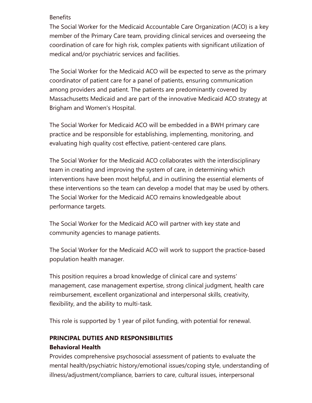#### **Benefits**

The Social Worker for the Medicaid Accountable Care Organization (ACO) is a key member of the Primary Care team, providing clinical services and overseeing the coordination of care for high risk, complex patients with significant utilization of medical and/or psychiatric services and facilities.

The Social Worker for the Medicaid ACO will be expected to serve as the primary coordinator of patient care for a panel of patients, ensuring communication among providers and patient. The patients are predominantly covered by Massachusetts Medicaid and are part of the innovative Medicaid ACO strategy at Brigham and Women's Hospital.

The Social Worker for Medicaid ACO will be embedded in a BWH primary care practice and be responsible for establishing, implementing, monitoring, and evaluating high quality cost effective, patient-centered care plans.

The Social Worker for the Medicaid ACO collaborates with the interdisciplinary team in creating and improving the system of care, in determining which interventions have been most helpful, and in outlining the essential elements of these interventions so the team can develop a model that may be used by others. The Social Worker for the Medicaid ACO remains knowledgeable about performance targets.

The Social Worker for the Medicaid ACO will partner with key state and community agencies to manage patients.

The Social Worker for the Medicaid ACO will work to support the practice-based population health manager.

This position requires a broad knowledge of clinical care and systems' management, case management expertise, strong clinical judgment, health care reimbursement, excellent organizational and interpersonal skills, creativity, flexibility, and the ability to multi-task.

This role is supported by 1 year of pilot funding, with potential for renewal.

#### PRINCIPAL DUTIES AND RESPONSIBILITIES Behavioral Health

Provides comprehensive psychosocial assessment of patients to evaluate the mental health/psychiatric history/emotional issues/coping style, understanding of illness/adjustment/compliance, barriers to care, cultural issues, interpersonal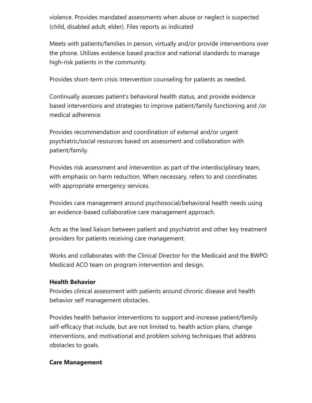violence. Provides mandated assessments when abuse or neglect is suspected (child, disabled adult, elder). Files reports as indicated

Meets with patients/families in person, virtually and/or provide interventions over the phone. Utilizes evidence based practice and national standards to manage high-risk patients in the community.

Provides short-term crisis intervention counseling for patients as needed.

Continually assesses patient's behavioral health status, and provide evidence based interventions and strategies to improve patient/family functioning and /or medical adherence.

Provides recommendation and coordination of external and/or urgent psychiatric/social resources based on assessment and collaboration with patient/family.

Provides risk assessment and intervention as part of the interdisciplinary team, with emphasis on harm reduction. When necessary, refers to and coordinates with appropriate emergency services.

Provides care management around psychosocial/behavioral health needs using an evidence-based collaborative care management approach.

Acts as the lead liaison between patient and psychiatrist and other key treatment providers for patients receiving care management.

Works and collaborates with the Clinical Director for the Medicaid and the BWPO Medicaid ACO team on program intervention and design.

#### Health Behavior

Provides clinical assessment with patients around chronic disease and health behavior self management obstacles.

Provides health behavior interventions to support and increase patient/family self-efficacy that include, but are not limited to, health action plans, change interventions, and motivational and problem solving techniques that address obstacles to goals.

#### Care Management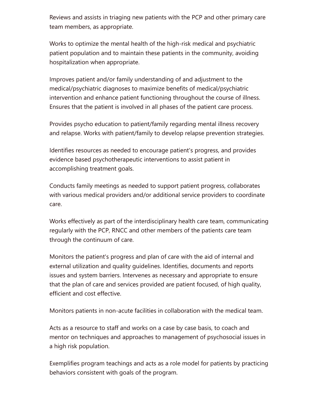Reviews and assists in triaging new patients with the PCP and other primary care team members, as appropriate.

Works to optimize the mental health of the high-risk medical and psychiatric patient population and to maintain these patients in the community, avoiding hospitalization when appropriate.

Improves patient and/or family understanding of and adjustment to the medical/psychiatric diagnoses to maximize benefits of medical/psychiatric intervention and enhance patient functioning throughout the course of illness. Ensures that the patient is involved in all phases of the patient care process.

Provides psycho education to patient/family regarding mental illness recovery and relapse. Works with patient/family to develop relapse prevention strategies.

Identifies resources as needed to encourage patient's progress, and provides evidence based psychotherapeutic interventions to assist patient in accomplishing treatment goals.

Conducts family meetings as needed to support patient progress, collaborates with various medical providers and/or additional service providers to coordinate care.

Works effectively as part of the interdisciplinary health care team, communicating regularly with the PCP, RNCC and other members of the patients care team through the continuum of care.

Monitors the patient's progress and plan of care with the aid of internal and external utilization and quality guidelines. Identifies, documents and reports issues and system barriers. Intervenes as necessary and appropriate to ensure that the plan of care and services provided are patient focused, of high quality, efficient and cost effective.

Monitors patients in non-acute facilities in collaboration with the medical team.

Acts as a resource to staff and works on a case by case basis, to coach and mentor on techniques and approaches to management of psychosocial issues in a high risk population.

Exemplifies program teachings and acts as a role model for patients by practicing behaviors consistent with goals of the program.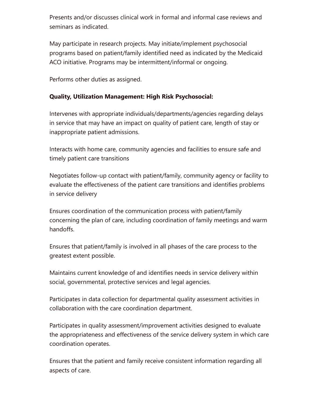Presents and/or discusses clinical work in formal and informal case reviews and seminars as indicated.

May participate in research projects. May initiate/implement psychosocial programs based on patient/family identified need as indicated by the Medicaid ACO initiative. Programs may be intermittent/informal or ongoing.

Performs other duties as assigned.

#### Quality, Utilization Management: High Risk Psychosocial:

Intervenes with appropriate individuals/departments/agencies regarding delays in service that may have an impact on quality of patient care, length of stay or inappropriate patient admissions.

Interacts with home care, community agencies and facilities to ensure safe and timely patient care transitions

Negotiates follow-up contact with patient/family, community agency or facility to evaluate the effectiveness of the patient care transitions and identifies problems in service delivery

Ensures coordination of the communication process with patient/family concerning the plan of care, including coordination of family meetings and warm handoffs.

Ensures that patient/family is involved in all phases of the care process to the greatest extent possible.

Maintains current knowledge of and identifies needs in service delivery within social, governmental, protective services and legal agencies.

Participates in data collection for departmental quality assessment activities in collaboration with the care coordination department.

Participates in quality assessment/improvement activities designed to evaluate the appropriateness and effectiveness of the service delivery system in which care coordination operates.

Ensures that the patient and family receive consistent information regarding all aspects of care.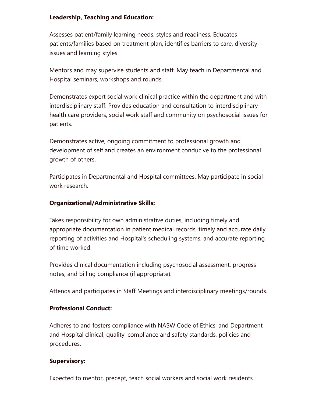#### Leadership, Teaching and Education:

Assesses patient/family learning needs, styles and readiness. Educates patients/families based on treatment plan, identifies barriers to care, diversity issues and learning styles.

Mentors and may supervise students and staff. May teach in Departmental and Hospital seminars, workshops and rounds.

Demonstrates expert social work clinical practice within the department and with interdisciplinary staff. Provides education and consultation to interdisciplinary health care providers, social work staff and community on psychosocial issues for patients.

Demonstrates active, ongoing commitment to professional growth and development of self and creates an environment conducive to the professional growth of others.

Participates in Departmental and Hospital committees. May participate in social work research.

#### Organizational/Administrative Skills:

Takes responsibility for own administrative duties, including timely and appropriate documentation in patient medical records, timely and accurate daily reporting of activities and Hospital's scheduling systems, and accurate reporting of time worked.

Provides clinical documentation including psychosocial assessment, progress notes, and billing compliance (if appropriate).

Attends and participates in Staff Meetings and interdisciplinary meetings/rounds.

#### Professional Conduct:

Adheres to and fosters compliance with NASW Code of Ethics, and Department and Hospital clinical, quality, compliance and safety standards, policies and procedures.

#### Supervisory:

Expected to mentor, precept, teach social workers and social work residents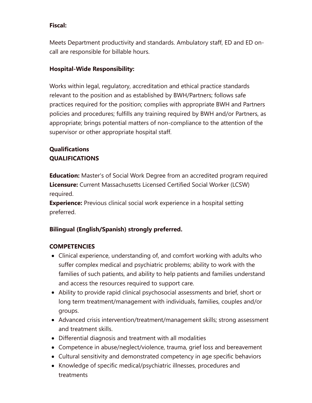#### Fiscal:

Meets Department productivity and standards. Ambulatory staff, ED and ED oncall are responsible for billable hours.

#### Hospital-Wide Responsibility:

Works within legal, regulatory, accreditation and ethical practice standards relevant to the position and as established by BWH/Partners; follows safe practices required for the position; complies with appropriate BWH and Partners policies and procedures; fulfills any training required by BWH and/or Partners, as appropriate; brings potential matters of non-compliance to the attention of the supervisor or other appropriate hospital staff.

#### **Qualifications** QUALIFICATIONS

**Education:** Master's of Social Work Degree from an accredited program required Licensure: Current Massachusetts Licensed Certified Social Worker (LCSW) required.

**Experience:** Previous clinical social work experience in a hospital setting preferred.

#### Bilingual (English/Spanish) strongly preferred.

#### **COMPETENCIES**

- Clinical experience, understanding of, and comfort working with adults who suffer complex medical and psychiatric problems; ability to work with the families of such patients, and ability to help patients and families understand and access the resources required to support care.
- Ability to provide rapid clinical psychosocial assessments and brief, short or long term treatment/management with individuals, families, couples and/or groups.
- Advanced crisis intervention/treatment/management skills; strong assessment and treatment skills.
- Differential diagnosis and treatment with all modalities
- Competence in abuse/neglect/violence, trauma, grief loss and bereavement
- Cultural sensitivity and demonstrated competency in age specific behaviors
- Knowledge of specific medical/psychiatric illnesses, procedures and treatments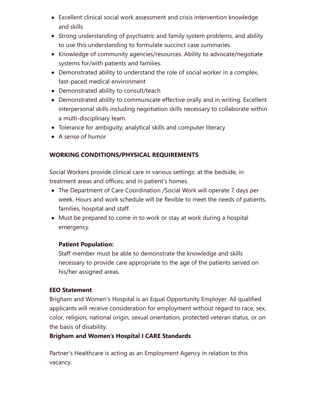- Excellent clinical social work assessment and crisis intervention knowledge and skills
- Strong understanding of psychiatric and family system problems, and ability to use this understanding to formulate succinct case summaries.
- Knowledge of community agencies/resources. Ability to advocate/negotiate systems for/with patients and families.
- Demonstrated ability to understand the role of social worker in a complex, fast-paced medical environment
- Demonstrated ability to consult/teach
- Demonstrated ability to communicate effective orally and in writing. Excellent interpersonal skills including negotiation skills necessary to collaborate within a multi-disciplinary team.
- Tolerance for ambiguity; analytical skills and computer literacy
- A sense of humor

#### WORKING CONDITIONS/PHYSICAL REQUIREMENTS

Social Workers provide clinical care in various settings: at the bedside, in treatment areas and offices; and in patient's homes.

- The Department of Care Coordination /Social Work will operate 7 days per week. Hours and work schedule will be flexible to meet the needs of patients, families, hospital and staff.
- Must be prepared to come in to work or stay at work during a hospital emergency.

#### Patient Population:

Staff member must be able to demonstrate the knowledge and skills necessary to provide care appropriate to the age of the patients served on his/her assigned areas.

#### EEO Statement

Brigham and Women's Hospital is an Equal Opportunity Employer. All qualified applicants will receive consideration for employment without regard to race, sex, color, religion, national origin, sexual orientation, protected veteran status, or on the basis of disability.

#### Brigham and Women's Hospital I CARE Standards

Partner's Healthcare is acting as an Employment Agency in relation to this vacancy.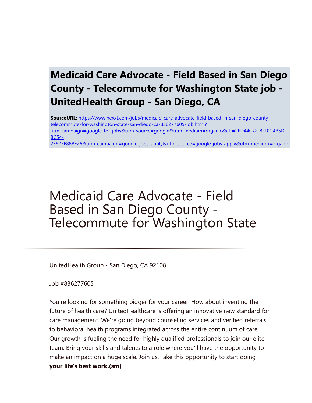### Medicaid Care Advocate - Field Based in San Diego County - Telecommute for Washington State job - UnitedHealth Group - San Diego, CA

SourceURL: https://www.nexxt.com/jobs/medicaid-care-advocate-field-based-in-san-diego-countytelecommute-for-washington-state-san-diego-ca-836277605-job.html? utm\_campaign=google\_for\_jobs&utm\_source=google&utm\_medium=organic&aff=2ED44C72-8FD2-4B5D-BC54- [2F623E88BE26&utm\\_campaign=google\\_jobs\\_apply&utm\\_source=google\\_jobs\\_apply&utm\\_medium=organic](https://www.nexxt.com/jobs/medicaid-care-advocate-field-based-in-san-diego-county-telecommute-for-washington-state-san-diego-ca-836277605-job.html?utm_campaign=google_for_jobs&utm_source=google&utm_medium=organic&aff=2ED44C72-8FD2-4B5D-BC54-2F623E88BE26&utm_campaign=google_jobs_apply&utm_source=google_jobs_apply&utm_medium=organic)

### Medicaid Care Advocate - Field Based in San Diego County - Telecommute for Washington State

UnitedHealth Group • San Diego, CA 92108

Job #836277605

You're looking for something bigger for your career. How about inventing the future of health care? UnitedHealthcare is offering an innovative new standard for care management. We're going beyond counseling services and verified referrals to behavioral health programs integrated across the entire continuum of care. Our growth is fueling the need for highly qualified professionals to join our elite team. Bring your skills and talents to a role where you'll have the opportunity to make an impact on a huge scale. Join us. Take this opportunity to start doing your life's best work.(sm)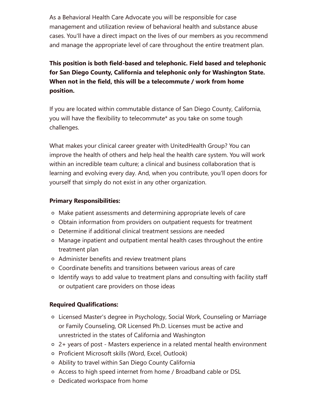As a Behavioral Health Care Advocate you will be responsible for case management and utilization review of behavioral health and substance abuse cases. You'll have a direct impact on the lives of our members as you recommend and manage the appropriate level of care throughout the entire treatment plan.

#### This position is both field-based and telephonic. Field based and telephonic for San Diego County, California and telephonic only for Washington State. When not in the field, this will be a telecommute / work from home position.

If you are located within commutable distance of San Diego County, California, you will have the flexibility to telecommute\* as you take on some tough challenges.

What makes your clinical career greater with UnitedHealth Group? You can improve the health of others and help heal the health care system. You will work within an incredible team culture; a clinical and business collaboration that is learning and evolving every day. And, when you contribute, you'll open doors for yourself that simply do not exist in any other organization.

#### Primary Responsibilities:

- Make patient assessments and determining appropriate levels of care
- Obtain information from providers on outpatient requests for treatment
- Determine if additional clinical treatment sessions are needed
- Manage inpatient and outpatient mental health cases throughout the entire treatment plan
- Administer benefits and review treatment plans
- Coordinate benefits and transitions between various areas of care
- Identify ways to add value to treatment plans and consulting with facility staff or outpatient care providers on those ideas

#### Required Qualifications:

- Licensed Master's degree in Psychology, Social Work, Counseling or Marriage or Family Counseling, OR Licensed Ph.D. Licenses must be active and unrestricted in the states of California and Washington
- 2+ years of post Masters experience in a related mental health environment
- Proficient Microsoft skills (Word, Excel, Outlook)
- Ability to travel within San Diego County California
- Access to high speed internet from home / Broadband cable or DSL
- Dedicated workspace from home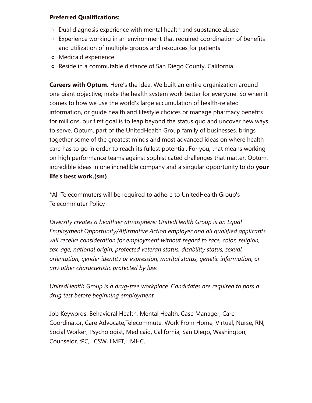#### Preferred Qualifications:

- Dual diagnosis experience with mental health and substance abuse
- Experience working in an environment that required coordination of benefits and utilization of multiple groups and resources for patients
- Medicaid experience
- Reside in a commutable distance of San Diego County, California

Careers with Optum. Here's the idea. We built an entire organization around one giant objective; make the health system work better for everyone. So when it comes to how we use the world's large accumulation of health-related information, or guide health and lifestyle choices or manage pharmacy benefits for millions, our first goal is to leap beyond the status quo and uncover new ways to serve. Optum, part of the UnitedHealth Group family of businesses, brings together some of the greatest minds and most advanced ideas on where health care has to go in order to reach its fullest potential. For you, that means working on high performance teams against sophisticated challenges that matter. Optum, incredible ideas in one incredible company and a singular opportunity to do your life's best work.(sm)

\*All Telecommuters will be required to adhere to UnitedHealth Group's Telecommuter Policy

Diversity creates a healthier atmosphere: UnitedHealth Group is an Equal Employment Opportunity/Affirmative Action employer and all qualified applicants will receive consideration for employment without regard to race, color, religion, sex, age, national origin, protected veteran status, disability status, sexual orientation, gender identity or expression, marital status, genetic information, or any other characteristic protected by law.

UnitedHealth Group is a drug-free workplace. Candidates are required to pass a drug test before beginning employment.

Job Keywords: Behavioral Health, Mental Health, Case Manager, Care Coordinator, Care Advocate,Telecommute, Work From Home, Virtual, Nurse, RN, Social Worker, Psychologist, Medicaid, California, San Diego, Washington, Counselor, :PC, LCSW, LMFT, LMHC,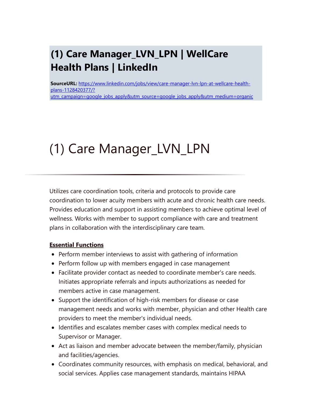### (1) Care Manager\_LVN\_LPN | WellCare Health Plans | LinkedIn

SourceURL: https://www.linkedin.com/jobs/view/care-manager-lvn-lpn-at-wellcare-healthplans-1128420377/? [utm\\_campaign=google\\_jobs\\_apply&utm\\_source=google\\_jobs\\_apply&utm\\_medium=organic](https://www.linkedin.com/jobs/view/care-manager-lvn-lpn-at-wellcare-health-plans-1128420377/?utm_campaign=google_jobs_apply&utm_source=google_jobs_apply&utm_medium=organic)

# (1) Care Manager\_LVN\_LPN

Utilizes care coordination tools, criteria and protocols to provide care coordination to lower acuity members with acute and chronic health care needs. Provides education and support in assisting members to achieve optimal level of wellness. Works with member to support compliance with care and treatment plans in collaboration with the interdisciplinary care team.

#### Essential Functions

- Perform member interviews to assist with gathering of information
- Perform follow up with members engaged in case management
- Facilitate provider contact as needed to coordinate member's care needs. Initiates appropriate referrals and inputs authorizations as needed for members active in case management.
- Support the identification of high-risk members for disease or case management needs and works with member, physician and other Health care providers to meet the member's individual needs.
- Identifies and escalates member cases with complex medical needs to Supervisor or Manager.
- Act as liaison and member advocate between the member/family, physician and facilities/agencies.
- Coordinates community resources, with emphasis on medical, behavioral, and social services. Applies case management standards, maintains HIPAA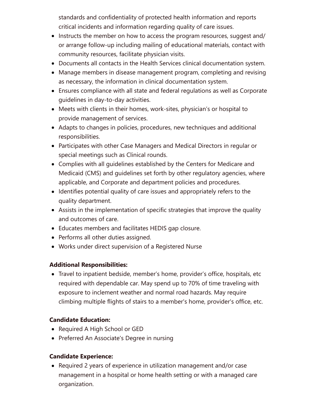standards and confidentiality of protected health information and reports critical incidents and information regarding quality of care issues.

- Instructs the member on how to access the program resources, suggest and/ or arrange follow-up including mailing of educational materials, contact with community resources, facilitate physician visits.
- Documents all contacts in the Health Services clinical documentation system.
- Manage members in disease management program, completing and revising as necessary, the information in clinical documentation system.
- Ensures compliance with all state and federal regulations as well as Corporate guidelines in day-to-day activities.
- Meets with clients in their homes, work-sites, physician's or hospital to provide management of services.
- Adapts to changes in policies, procedures, new techniques and additional responsibilities.
- Participates with other Case Managers and Medical Directors in regular or special meetings such as Clinical rounds.
- Complies with all guidelines established by the Centers for Medicare and Medicaid (CMS) and guidelines set forth by other regulatory agencies, where applicable, and Corporate and department policies and procedures.
- Identifies potential quality of care issues and appropriately refers to the quality department.
- Assists in the implementation of specific strategies that improve the quality and outcomes of care.
- Educates members and facilitates HEDIS gap closure.
- Performs all other duties assigned.
- Works under direct supervision of a Registered Nurse

#### Additional Responsibilities:

Travel to inpatient bedside, member's home, provider's office, hospitals, etc required with dependable car. May spend up to 70% of time traveling with exposure to inclement weather and normal road hazards. May require climbing multiple flights of stairs to a member's home, provider's office, etc.

#### Candidate Education:

- Required A High School or GED
- Preferred An Associate's Degree in nursing

#### Candidate Experience:

Required 2 years of experience in utilization management and/or case management in a hospital or home health setting or with a managed care organization.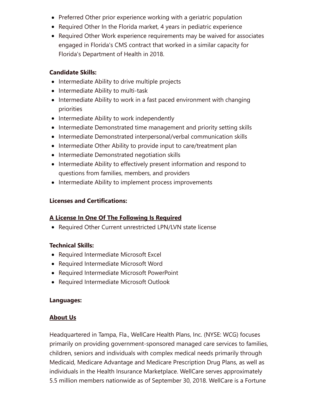- Preferred Other prior experience working with a geriatric population
- Required Other In the Florida market, 4 years in pediatric experience
- Required Other Work experience requirements may be waived for associates engaged in Florida's CMS contract that worked in a similar capacity for Florida's Department of Health in 2018.

#### Candidate Skills:

- Intermediate Ability to drive multiple projects
- Intermediate Ability to multi-task
- Intermediate Ability to work in a fast paced environment with changing priorities
- Intermediate Ability to work independently
- Intermediate Demonstrated time management and priority setting skills
- Intermediate Demonstrated interpersonal/verbal communication skills
- Intermediate Other Ability to provide input to care/treatment plan
- Intermediate Demonstrated negotiation skills
- Intermediate Ability to effectively present information and respond to questions from families, members, and providers
- Intermediate Ability to implement process improvements

#### Licenses and Certifications:

#### A License In One Of The Following Is Required

• Required Other Current unrestricted LPN/LVN state license

#### Technical Skills:

- Required Intermediate Microsoft Excel
- Required Intermediate Microsoft Word
- Required Intermediate Microsoft PowerPoint
- Required Intermediate Microsoft Outlook

#### Languages:

#### About Us

Headquartered in Tampa, Fla., WellCare Health Plans, Inc. (NYSE: WCG) focuses primarily on providing government-sponsored managed care services to families, children, seniors and individuals with complex medical needs primarily through Medicaid, Medicare Advantage and Medicare Prescription Drug Plans, as well as individuals in the Health Insurance Marketplace. WellCare serves approximately 5.5 million members nationwide as of September 30, 2018. WellCare is a Fortune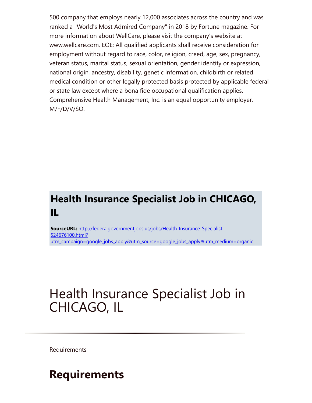500 company that employs nearly 12,000 associates across the country and was ranked a "World's Most Admired Company" in 2018 by Fortune magazine. For more information about WellCare, please visit the company's website at www.wellcare.com. EOE: All qualified applicants shall receive consideration for employment without regard to race, color, religion, creed, age, sex, pregnancy, veteran status, marital status, sexual orientation, gender identity or expression, national origin, ancestry, disability, genetic information, childbirth or related medical condition or other legally protected basis protected by applicable federal or state law except where a bona fide occupational qualification applies. Comprehensive Health Management, Inc. is an equal opportunity employer, M/F/D/V/SO.

### Health Insurance Specialist Job in CHICAGO, IL

SourceURL: http://federalgovernmentjobs.us/jobs/Health-Insurance-Specialist-524676100.html? [utm\\_campaign=google\\_jobs\\_apply&utm\\_source=google\\_jobs\\_apply&utm\\_medium=organic](http://federalgovernmentjobs.us/jobs/Health-Insurance-Specialist-524676100.html?utm_campaign=google_jobs_apply&utm_source=google_jobs_apply&utm_medium=organic)

# Health Insurance Specialist Job in CHICAGO, IL

Requirements

### **Requirements**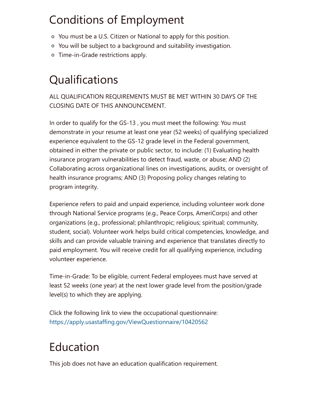### Conditions of Employment

- You must be a U.S. Citizen or National to apply for this position.
- You will be subject to a background and suitability investigation.
- Time-in-Grade restrictions apply.

# **Qualifications**

ALL QUALIFICATION REQUIREMENTS MUST BE MET WITHIN 30 DAYS OF THE CLOSING DATE OF THIS ANNOUNCEMENT.

In order to qualify for the GS-13 , you must meet the following: You must demonstrate in your resume at least one year (52 weeks) of qualifying specialized experience equivalent to the GS-12 grade level in the Federal government, obtained in either the private or public sector, to include: (1) Evaluating health insurance program vulnerabilities to detect fraud, waste, or abuse; AND (2) Collaborating across organizational lines on investigations, audits, or oversight of health insurance programs; AND (3) Proposing policy changes relating to program integrity.

Experience refers to paid and unpaid experience, including volunteer work done through National Service programs (e.g., Peace Corps, AmeriCorps) and other organizations (e.g., professional; philanthropic; religious; spiritual; community, student, social). Volunteer work helps build critical competencies, knowledge, and skills and can provide valuable training and experience that translates directly to paid employment. You will receive credit for all qualifying experience, including volunteer experience.

Time-in-Grade: To be eligible, current Federal employees must have served at least 52 weeks (one year) at the next lower grade level from the position/grade level(s) to which they are applying.

Click the following link to view the occupational questionnaire: [https://apply.usastaffing.gov/ViewQuestionnaire/10420562](http://federalgovernmentjobs.us/redirect.html?url=104116116112115058047047097112112108121046117115097115116097102102105110103046103111118047086105101119081117101115116105111110110097105114101047049048052050048053054050)

### Education

This job does not have an education qualification requirement.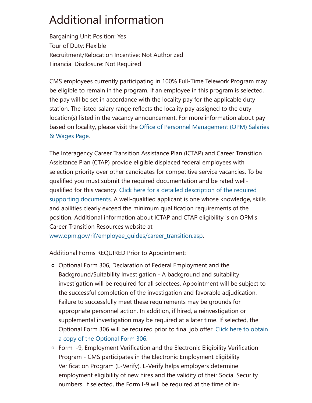### Additional information

Bargaining Unit Position: Yes Tour of Duty: Flexible Recruitment/Relocation Incentive: Not Authorized Financial Disclosure: Not Required

CMS employees currently participating in 100% Full-Time Telework Program may be eligible to remain in the program. If an employee in this program is selected, the pay will be set in accordance with the locality pay for the applicable duty station. The listed salary range reflects the locality pay assigned to the duty location(s) listed in the vacancy announcement. For more information about pay based on locality, please visit the [Office of Personnel Management \(OPM\) Salaries](http://federalgovernmentjobs.us/redirect.html?url=104116116112115058047047119119119046111112109046103111118047112111108105099121045100097116097045111118101114115105103104116047112097121045108101097118101047115097108097114105101115045119097103101115047) & Wages Page.

The Interagency Career Transition Assistance Plan (ICTAP) and Career Transition Assistance Plan (CTAP) provide eligible displaced federal employees with selection priority over other candidates for competitive service vacancies. To be qualified you must submit the required documentation and be rated wellqualified for this vacancy. Click here for a detailed description of the required [supporting documents. A well-qualified applicant is one whose knowledge, sk](http://federalgovernmentjobs.us/redirect.html?url=104116116112058047047119119119046099109115046103111118047065098111117116045067077083047067097114101101114045073110102111114109097116105111110047067097114101101114115097116067077083047068111119110108111097100115047082101113117105114101100068111099117109101110116115045046112100102)ills and abilities clearly exceed the minimum qualification requirements of the position. Additional information about ICTAP and CTAP eligibility is on OPM's Career Transition Resources website at

[www.opm.gov/rif/employee\\_guides/career\\_transition.asp.](http://federalgovernmentjobs.us/redirect.html?url=104116116112058047047119119119046111112109046103111118047114105102047101109112108111121101101095103117105100101115047099097114101101114095116114097110115105116105111110046097115112)

Additional Forms REQUIRED Prior to Appointment:

- Optional Form 306, Declaration of Federal Employment and the Background/Suitability Investigation - A background and suitability investigation will be required for all selectees. Appointment will be subject to the successful completion of the investigation and favorable adjudication. Failure to successfully meet these requirements may be grounds for appropriate personnel action. In addition, if hired, a reinvestigation or supplemental investigation may be required at a later time. If selected, the [Optional Form 306 will be required prior to final job offer.](http://federalgovernmentjobs.us/redirect.html?url=104116116112115058047047119119119046111112109046103111118047102111114109115047112100102095102105108108047079070048051048054046112100102) Click here to obtain a copy of the Optional Form 306.
- Form I-9, Employment Verification and the Electronic Eligibility Verification Program - CMS participates in the Electronic Employment Eligibility Verification Program (E-Verify). E-Verify helps employers determine employment eligibility of new hires and the validity of their Social Security numbers. If selected, the Form I-9 will be required at the time of in-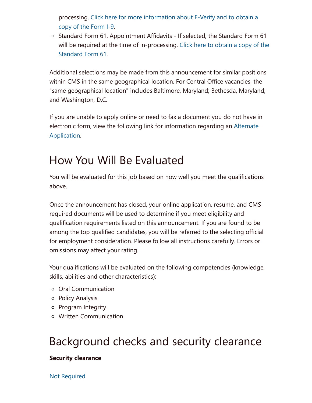processing. [Click here for more information about E-Verify and to obtain a](http://federalgovernmentjobs.us/redirect.html?url=104116116112115058047047119119119046117115099105115046103111118047101045118101114105102121047101109112108111121101101115047101045118101114105102121045111118101114118105101119) copy of the Form I-9.

o Standard Form 61, Appointment Affidavits - If selected, the Standard Form 61 [will be required at the time of in-processing.](http://federalgovernmentjobs.us/redirect.html?url=104116116112115058047047119119119046111112109046103111118047102111114109115047112100102095102105108108047115102054049046112100102) Click here to obtain a copy of the Standard Form 61.

Additional selections may be made from this announcement for similar positions within CMS in the same geographical location. For Central Office vacancies, the "same geographical location" includes Baltimore, Maryland; Bethesda, Maryland; and Washington, D.C.

If you are unable to apply online or need to fax a document you do not have in [electronic form, view the following link for information regarding an](http://federalgovernmentjobs.us/redirect.html?url=104116116112115058047047104101108112046117115097115116097102102105110103046103111118047065112112108121047105110100101120046112104112063116105116108101061065108116101114110097116101095065112112108105099097116105111110095073110102111114109097116105111110) Alternate Application.

### How You Will Be Evaluated

You will be evaluated for this job based on how well you meet the qualifications above.

Once the announcement has closed, your online application, resume, and CMS required documents will be used to determine if you meet eligibility and qualification requirements listed on this announcement. If you are found to be among the top qualified candidates, you will be referred to the selecting official for employment consideration. Please follow all instructions carefully. Errors or omissions may affect your rating.

Your qualifications will be evaluated on the following competencies (knowledge, skills, abilities and other characteristics):

- Oral Communication
- Policy Analysis
- o Program Integrity
- Written Communication

### Background checks and security clearance

#### Security clearance

#### [Not Required](http://federalgovernmentjobs.us/Help/faq/job-announcement/security-clearances/)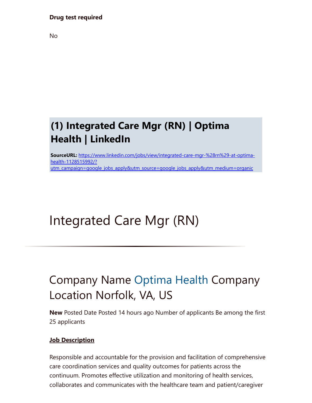#### Drug test required

No

### (1) Integrated Care Mgr (RN) | Optima Health | LinkedIn

SourceURL: https://www.linkedin.com/jobs/view/integrated-care-mgr-%28rn%29-at-optimahealth-1128515992/? [utm\\_campaign=google\\_jobs\\_apply&utm\\_source=google\\_jobs\\_apply&utm\\_medium=organic](https://www.linkedin.com/jobs/view/integrated-care-mgr-%28rn%29-at-optima-health-1128515992/?utm_campaign=google_jobs_apply&utm_source=google_jobs_apply&utm_medium=organic)

# Integrated Care Mgr (RN)

### Company Name [Optima Health](https://www.linkedin.com/company/373482/) Company Location Norfolk, VA, US

New Posted Date Posted 14 hours ago Number of applicants Be among the first 25 applicants

#### **Job Description**

Responsible and accountable for the provision and facilitation of comprehensive care coordination services and quality outcomes for patients across the continuum. Promotes effective utilization and monitoring of health services, collaborates and communicates with the healthcare team and patient/caregiver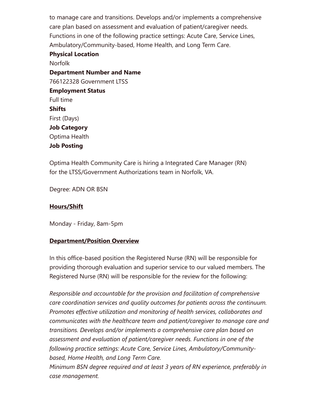to manage care and transitions. Develops and/or implements a comprehensive care plan based on assessment and evaluation of patient/caregiver needs. Functions in one of the following practice settings: Acute Care, Service Lines, Ambulatory/Community-based, Home Health, and Long Term Care.

#### Physical Location

Norfolk

Department Number and Name 766122328 Government LTSS Employment Status Full time **Shifts** First (Days) Job Category Optima Health Job Posting

Optima Health Community Care is hiring a Integrated Care Manager (RN) for the LTSS/Government Authorizations team in Norfolk, VA.

Degree: ADN OR BSN

#### Hours/Shift

Monday - Friday, 8am-5pm

#### Department/Position Overview

In this office-based position the Registered Nurse (RN) will be responsible for providing thorough evaluation and superior service to our valued members. The Registered Nurse (RN) will be responsible for the review for the following:

Responsible and accountable for the provision and facilitation of comprehensive care coordination services and quality outcomes for patients across the continuum. Promotes effective utilization and monitoring of health services, collaborates and communicates with the healthcare team and patient/caregiver to manage care and transitions. Develops and/or implements a comprehensive care plan based on assessment and evaluation of patient/caregiver needs. Functions in one of the following practice settings: Acute Care, Service Lines, Ambulatory/Communitybased, Home Health, and Long Term Care.

Minimum BSN degree required and at least 3 years of RN experience, preferably in case management.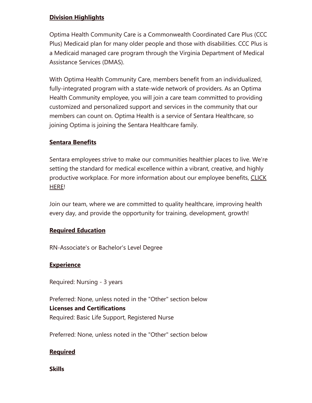#### Division Highlights

Optima Health Community Care is a Commonwealth Coordinated Care Plus (CCC Plus) Medicaid plan for many older people and those with disabilities. CCC Plus is a Medicaid managed care program through the Virginia Department of Medical Assistance Services (DMAS).

With Optima Health Community Care, members benefit from an individualized, fully-integrated program with a state-wide network of providers. As an Optima Health Community employee, you will join a care team committed to providing customized and personalized support and services in the community that our members can count on. Optima Health is a service of Sentara Healthcare, so joining Optima is joining the Sentara Healthcare family.

#### Sentara Benefits

Sentara employees strive to make our communities healthier places to live. We're setting the standard for medical excellence within a vibrant, creative, and highly productive workplace. For more information about our employee benefits, CLICK HERE!

Join our team, where we are committed to quality healthcare, improving health every day, and provide the opportunity for training, development, growth!

#### Required Education

RN-Associate's or Bachelor's Level Degree

#### Experience

Required: Nursing - 3 years

Preferred: None, unless noted in the "Other" section below Licenses and Certifications Required: Basic Life Support, Registered Nurse

Preferred: None, unless noted in the "Other" section below

#### **Required**

Skills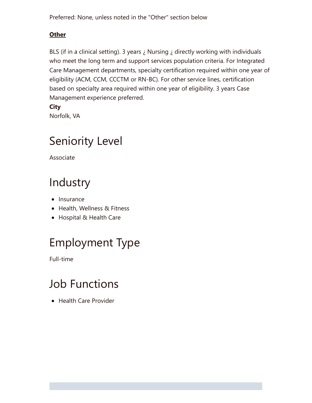Preferred: None, unless noted in the "Other" section below

#### **Other**

BLS (if in a clinical setting). 3 years  $\chi$  Nursing  $\chi$  directly working with individuals who meet the long term and support services population criteria. For Integrated Care Management departments, specialty certification required within one year of eligibility (ACM, CCM, CCCTM or RN-BC). For other service lines, certification based on specialty area required within one year of eligibility. 3 years Case Management experience preferred.

**City** 

Norfolk, VA

### Seniority Level

Associate

# Industry

- Insurance
- Health, Wellness & Fitness
- Hospital & Health Care

# Employment Type

Full-time

# Job Functions

• Health Care Provider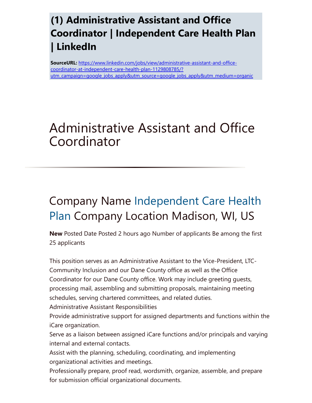### (1) Administrative Assistant and Office Coordinator | Independent Care Health Plan | LinkedIn

SourceURL: https://www.linkedin.com/jobs/view/administrative-assistant-and-officecoordinator-at-independent-care-health-plan-1129808785/? [utm\\_campaign=google\\_jobs\\_apply&utm\\_source=google\\_jobs\\_apply&utm\\_medium=organic](https://www.linkedin.com/jobs/view/administrative-assistant-and-office-coordinator-at-independent-care-health-plan-1129808785/?utm_campaign=google_jobs_apply&utm_source=google_jobs_apply&utm_medium=organic)

# Administrative Assistant and Office Coordinator

# Company Name [Independent Care Health](https://www.linkedin.com/company/102783/) Plan Company Location Madison, WI, US

New Posted Date Posted 2 hours ago Number of applicants Be among the first 25 applicants

This position serves as an Administrative Assistant to the Vice-President, LTC-Community Inclusion and our Dane County office as well as the Office Coordinator for our Dane County office. Work may include greeting guests, processing mail, assembling and submitting proposals, maintaining meeting schedules, serving chartered committees, and related duties.

Administrative Assistant Responsibilities

Provide administrative support for assigned departments and functions within the iCare organization.

Serve as a liaison between assigned iCare functions and/or principals and varying internal and external contacts.

Assist with the planning, scheduling, coordinating, and implementing organizational activities and meetings.

Professionally prepare, proof read, wordsmith, organize, assemble, and prepare for submission official organizational documents.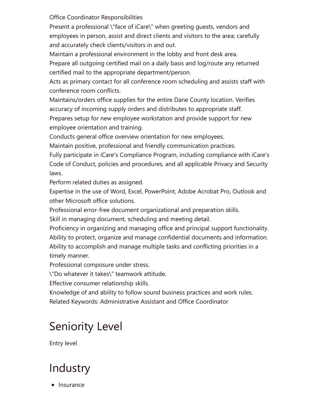#### Office Coordinator Responsibilities

Present a professional \"face of iCare\" when greeting guests, vendors and employees in person, assist and direct clients and visitors to the area; carefully and accurately check clients/visitors in and out.

Maintain a professional environment in the lobby and front desk area. Prepare all outgoing certified mail on a daily basis and log/route any returned certified mail to the appropriate department/person.

Acts as primary contact for all conference room scheduling and assists staff with conference room conflicts.

Maintains/orders office supplies for the entire Dane County location. Verifies accuracy of incoming supply orders and distributes to appropriate staff.

Prepares setup for new employee workstation and provide support for new employee orientation and training.

Conducts general office overview orientation for new employees.

Maintain positive, professional and friendly communication practices.

Fully participate in iCare's Compliance Program, including compliance with iCare's Code of Conduct, policies and procedures, and all applicable Privacy and Security laws.

Perform related duties as assigned.

Expertise in the use of Word, Excel, PowerPoint, Adobe Acrobat Pro, Outlook and other Microsoft office solutions.

Professional error-free document organizational and preparation skills.

Skill in managing document, scheduling and meeting detail.

Proficiency in organizing and managing office and principal support functionality. Ability to protect, organize and manage confidential documents and information. Ability to accomplish and manage multiple tasks and conflicting priorities in a timely manner.

Professional composure under stress.

\"Do whatever it takes\" teamwork attitude.

Effective consumer relationship skills.

Knowledge of and ability to follow sound business practices and work rules. Related Keywords: Administrative Assistant and Office Coordinator

# Seniority Level

Entry level

# Industry

• Insurance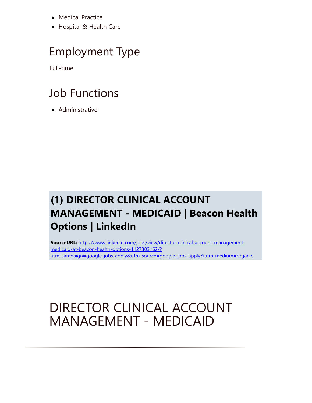- Medical Practice
- Hospital & Health Care

# Employment Type

Full-time

### Job Functions

• Administrative

### (1) DIRECTOR CLINICAL ACCOUNT MANAGEMENT - MEDICAID | Beacon Health Options | LinkedIn

SourceURL: https://www.linkedin.com/jobs/view/director-clinical-account-managementmedicaid-at-beacon-health-options-1127303162/? [utm\\_campaign=google\\_jobs\\_apply&utm\\_source=google\\_jobs\\_apply&utm\\_medium=organic](https://www.linkedin.com/jobs/view/director-clinical-account-management-medicaid-at-beacon-health-options-1127303162/?utm_campaign=google_jobs_apply&utm_source=google_jobs_apply&utm_medium=organic)

# DIRECTOR CLINICAL ACCOUNT MANAGEMENT - MEDICAID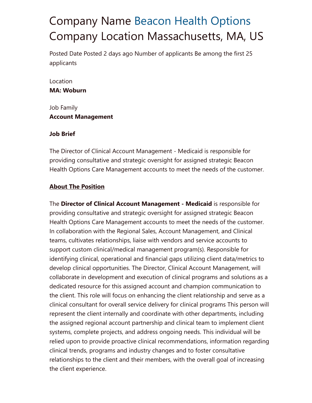# Company Name [Beacon Health Options](https://www.linkedin.com/company/9235388/) Company Location Massachusetts, MA, US

Posted Date Posted 2 days ago Number of applicants Be among the first 25 applicants

Location MA: Woburn

Job Family Account Management

#### Job Brief

The Director of Clinical Account Management - Medicaid is responsible for providing consultative and strategic oversight for assigned strategic Beacon Health Options Care Management accounts to meet the needs of the customer.

#### About The Position

The Director of Clinical Account Management - Medicaid is responsible for providing consultative and strategic oversight for assigned strategic Beacon Health Options Care Management accounts to meet the needs of the customer. In collaboration with the Regional Sales, Account Management, and Clinical teams, cultivates relationships, liaise with vendors and service accounts to support custom clinical/medical management program(s). Responsible for identifying clinical, operational and financial gaps utilizing client data/metrics to develop clinical opportunities. The Director, Clinical Account Management, will collaborate in development and execution of clinical programs and solutions as a dedicated resource for this assigned account and champion communication to the client. This role will focus on enhancing the client relationship and serve as a clinical consultant for overall service delivery for clinical programs This person will represent the client internally and coordinate with other departments, including the assigned regional account partnership and clinical team to implement client systems, complete projects, and address ongoing needs. This individual will be relied upon to provide proactive clinical recommendations, information regarding clinical trends, programs and industry changes and to foster consultative relationships to the client and their members, with the overall goal of increasing the client experience.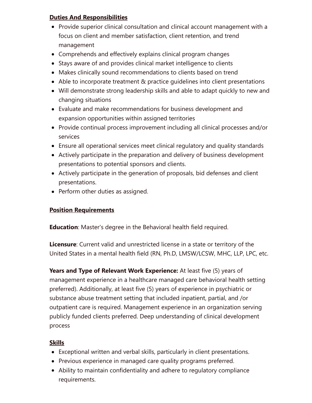#### Duties And Responsibilities

- Provide superior clinical consultation and clinical account management with a focus on client and member satisfaction, client retention, and trend management
- Comprehends and effectively explains clinical program changes
- Stays aware of and provides clinical market intelligence to clients
- Makes clinically sound recommendations to clients based on trend
- Able to incorporate treatment & practice guidelines into client presentations
- Will demonstrate strong leadership skills and able to adapt quickly to new and changing situations
- Evaluate and make recommendations for business development and expansion opportunities within assigned territories
- Provide continual process improvement including all clinical processes and/or services
- Ensure all operational services meet clinical regulatory and quality standards
- Actively participate in the preparation and delivery of business development presentations to potential sponsors and clients.
- Actively participate in the generation of proposals, bid defenses and client presentations.
- Perform other duties as assigned.

#### Position Requirements

**Education:** Master's degree in the Behavioral health field required.

**Licensure:** Current valid and unrestricted license in a state or territory of the United States in a mental health field (RN, Ph.D, LMSW/LCSW, MHC, LLP, LPC, etc.

Years and Type of Relevant Work Experience: At least five (5) years of management experience in a healthcare managed care behavioral health setting preferred). Additionally, at least five (5) years of experience in psychiatric or substance abuse treatment setting that included inpatient, partial, and /or outpatient care is required. Management experience in an organization serving publicly funded clients preferred. Deep understanding of clinical development process

#### **Skills**

- Exceptional written and verbal skills, particularly in client presentations.
- Previous experience in managed care quality programs preferred.
- Ability to maintain confidentiality and adhere to regulatory compliance requirements.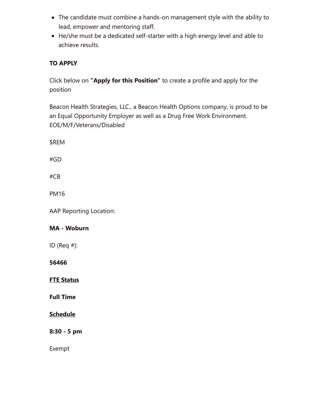- The candidate must combine a hands-on management style with the ability to lead, empower and mentoring staff.
- He/she must be a dedicated self-starter with a high energy level and able to achieve results.

#### TO APPLY

Click below on "Apply for this Position" to create a profile and apply for the position

Beacon Health Strategies, LLC., a Beacon Health Options company, is proud to be an Equal Opportunity Employer as well as a Drug Free Work Environment. EOE/M/F/Veterans/Disabled

\$REM

#GD

#CB

PM16

AAP Reporting Location:

#### MA - Woburn

ID (Req #):

56466

FTE Status

Full Time

**Schedule** 

8:30 - 5 pm

Exempt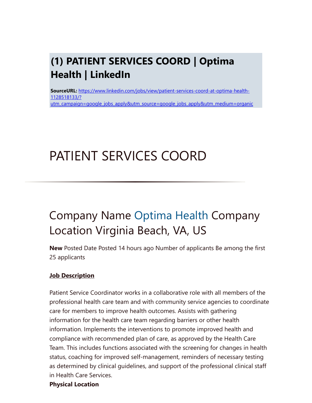### (1) PATIENT SERVICES COORD | Optima Health | LinkedIn

SourceURL: https://www.linkedin.com/jobs/view/patient-services-coord-at-optima-health-1128518133/? [utm\\_campaign=google\\_jobs\\_apply&utm\\_source=google\\_jobs\\_apply&utm\\_medium=organic](https://www.linkedin.com/jobs/view/patient-services-coord-at-optima-health-1128518133/?utm_campaign=google_jobs_apply&utm_source=google_jobs_apply&utm_medium=organic)

# PATIENT SERVICES COORD

### Company Name [Optima Health](https://www.linkedin.com/company/373482/) Company Location Virginia Beach, VA, US

New Posted Date Posted 14 hours ago Number of applicants Be among the first 25 applicants

#### **Job Description**

Patient Service Coordinator works in a collaborative role with all members of the professional health care team and with community service agencies to coordinate care for members to improve health outcomes. Assists with gathering information for the health care team regarding barriers or other health information. Implements the interventions to promote improved health and compliance with recommended plan of care, as approved by the Health Care Team. This includes functions associated with the screening for changes in health status, coaching for improved self-management, reminders of necessary testing as determined by clinical guidelines, and support of the professional clinical staff in Health Care Services.

#### Physical Location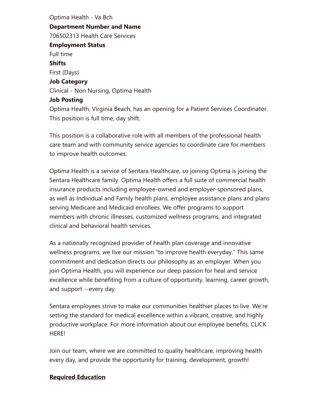Optima Health - Va Bch Department Number and Name 706502313 Health Care Services Employment Status Full time **Shifts** First (Days) Job Category Clinical - Non Nursing, Optima Health Job Posting

Optima Health, Virginia Beach, has an opening for a Patient Services Coordinator. This position is full time, day shift.

This position is a collaborative role with all members of the professional health care team and with community service agencies to coordinate care for members to improve health outcomes.

Optima Health is a service of Sentara Healthcare, so joining Optima is joining the Sentara Healthcare family. Optima Health offers a full suite of commercial health insurance products including employee-owned and employer-sponsored plans, as well as Individual and Family health plans, employee assistance plans and plans serving Medicare and Medicaid enrollees. We offer programs to support members with chronic illnesses, customized wellness programs, and integrated clinical and behavioral health services.

As a nationally recognized provider of health plan coverage and innovative wellness programs, we live our mission "to improve health everyday." This same commitment and dedication directs our philosophy as an employer. When you join Optima Health, you will experience our deep passion for heal and service excellence while benefiting from a culture of opportunity, learning, career growth, and support --every day.

Sentara employees strive to make our communities healthier places to live. We're setting the standard for medical excellence within a vibrant, creative, and highly productive workplace. For more information about our employee benefits, CLICK HERE!

Join our team, where we are committed to quality healthcare, improving health every day, and provide the opportunity for training, development, growth!

#### Required Education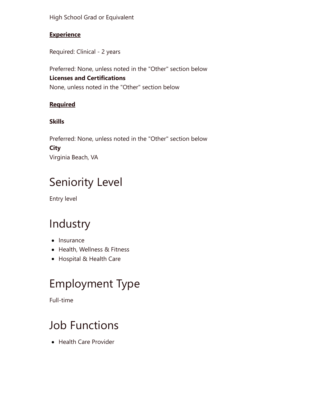High School Grad or Equivalent

#### **Experience**

Required: Clinical - 2 years

Preferred: None, unless noted in the "Other" section below Licenses and Certifications None, unless noted in the "Other" section below

#### **Required**

#### Skills

Preferred: None, unless noted in the "Other" section below **City** Virginia Beach, VA

### Seniority Level

Entry level

### Industry

- Insurance
- Health, Wellness & Fitness
- Hospital & Health Care

### Employment Type

Full-time

### Job Functions

Health Care Provider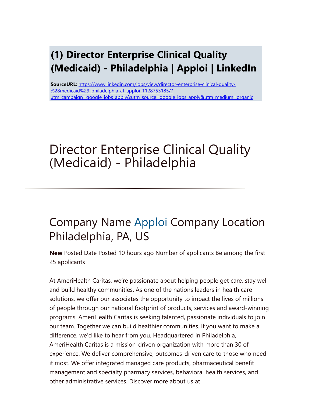### (1) Director Enterprise Clinical Quality (Medicaid) - Philadelphia | Apploi | LinkedIn

SourceURL: https://www.linkedin.com/jobs/view/director-enterprise-clinical-quality- %28medicaid%29-philadelphia-at-apploi-1128753185/? [utm\\_campaign=google\\_jobs\\_apply&utm\\_source=google\\_jobs\\_apply&utm\\_medium=organic](https://www.linkedin.com/jobs/view/director-enterprise-clinical-quality-%28medicaid%29-philadelphia-at-apploi-1128753185/?utm_campaign=google_jobs_apply&utm_source=google_jobs_apply&utm_medium=organic)

### Director Enterprise Clinical Quality (Medicaid) - Philadelphia

### Company Name [Apploi](https://www.linkedin.com/company/2909122/) Company Location Philadelphia, PA, US

New Posted Date Posted 10 hours ago Number of applicants Be among the first 25 applicants

At AmeriHealth Caritas, we're passionate about helping people get care, stay well and build healthy communities. As one of the nations leaders in health care solutions, we offer our associates the opportunity to impact the lives of millions of people through our national footprint of products, services and award-winning programs. AmeriHealth Caritas is seeking talented, passionate individuals to join our team. Together we can build healthier communities. If you want to make a difference, we'd like to hear from you. Headquartered in Philadelphia, AmeriHealth Caritas is a mission-driven organization with more than 30 of experience. We deliver comprehensive, outcomes-driven care to those who need it most. We offer integrated managed care products, pharmaceutical benefit management and specialty pharmacy services, behavioral health services, and other administrative services. Discover more about us at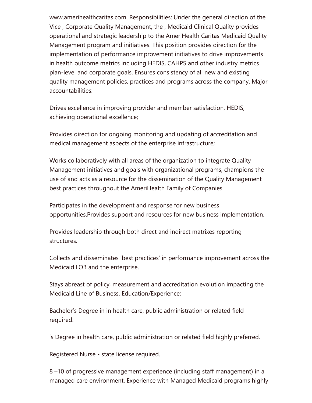www.amerihealthcaritas.com. Responsibilities: Under the general direction of the Vice , Corporate Quality Management, the , Medicaid Clinical Quality provides operational and strategic leadership to the AmeriHealth Caritas Medicaid Quality Management program and initiatives. This position provides direction for the implementation of performance improvement initiatives to drive improvements in health outcome metrics including HEDIS, CAHPS and other industry metrics plan-level and corporate goals. Ensures consistency of all new and existing quality management policies, practices and programs across the company. Major accountabilities:

Drives excellence in improving provider and member satisfaction, HEDIS, achieving operational excellence;

Provides direction for ongoing monitoring and updating of accreditation and medical management aspects of the enterprise infrastructure;

Works collaboratively with all areas of the organization to integrate Quality Management initiatives and goals with organizational programs; champions the use of and acts as a resource for the dissemination of the Quality Management best practices throughout the AmeriHealth Family of Companies.

Participates in the development and response for new business opportunities.Provides support and resources for new business implementation.

Provides leadership through both direct and indirect matrixes reporting structures.

Collects and disseminates 'best practices' in performance improvement across the Medicaid LOB and the enterprise.

Stays abreast of policy, measurement and accreditation evolution impacting the Medicaid Line of Business. Education/Experience:

Bachelor's Degree in in health care, public administration or related field required.

's Degree in health care, public administration or related field highly preferred.

Registered Nurse - state license required.

8 –10 of progressive management experience (including staff management) in a managed care environment. Experience with Managed Medicaid programs highly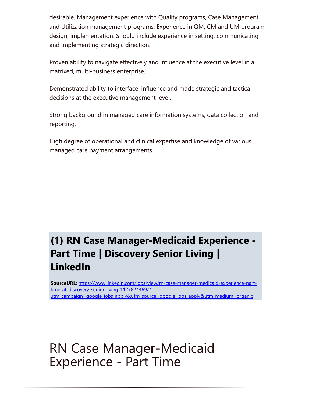desirable. Management experience with Quality programs, Case Management and Utilization management programs. Experience in QM, CM and UM program design, implementation. Should include experience in setting, communicating and implementing strategic direction.

Proven ability to navigate effectively and influence at the executive level in a matrixed, multi-business enterprise.

Demonstrated ability to interface, influence and made strategic and tactical decisions at the executive management level.

Strong background in managed care information systems, data collection and reporting,

High degree of operational and clinical expertise and knowledge of various managed care payment arrangements.

### (1) RN Case Manager-Medicaid Experience - Part Time | Discovery Senior Living | LinkedIn

SourceURL: https://www.linkedin.com/jobs/view/rn-case-manager-medicaid-experience-parttime-at-discovery-senior-living-1127824469/? [utm\\_campaign=google\\_jobs\\_apply&utm\\_source=google\\_jobs\\_apply&utm\\_medium=organic](https://www.linkedin.com/jobs/view/rn-case-manager-medicaid-experience-part-time-at-discovery-senior-living-1127824469/?utm_campaign=google_jobs_apply&utm_source=google_jobs_apply&utm_medium=organic)

### RN Case Manager-Medicaid Experience - Part Time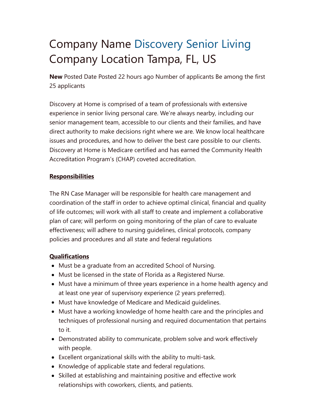# Company Name [Discovery Senior Living](https://www.linkedin.com/company/3637229/) Company Location Tampa, FL, US

New Posted Date Posted 22 hours ago Number of applicants Be among the first 25 applicants

Discovery at Home is comprised of a team of professionals with extensive experience in senior living personal care. We're always nearby, including our senior management team, accessible to our clients and their families, and have direct authority to make decisions right where we are. We know local healthcare issues and procedures, and how to deliver the best care possible to our clients. Discovery at Home is Medicare certified and has earned the Community Health Accreditation Program's (CHAP) coveted accreditation.

#### **Responsibilities**

The RN Case Manager will be responsible for health care management and coordination of the staff in order to achieve optimal clinical, financial and quality of life outcomes; will work with all staff to create and implement a collaborative plan of care; will perform on going monitoring of the plan of care to evaluate effectiveness; will adhere to nursing guidelines, clinical protocols, company policies and procedures and all state and federal regulations

#### **Qualifications**

- Must be a graduate from an accredited School of Nursing.
- Must be licensed in the state of Florida as a Registered Nurse.
- Must have a minimum of three years experience in a home health agency and at least one year of supervisory experience (2 years preferred).
- Must have knowledge of Medicare and Medicaid guidelines.
- Must have a working knowledge of home health care and the principles and techniques of professional nursing and required documentation that pertains to it.
- Demonstrated ability to communicate, problem solve and work effectively with people.
- Excellent organizational skills with the ability to multi-task.
- Knowledge of applicable state and federal regulations.
- Skilled at establishing and maintaining positive and effective work relationships with coworkers, clients, and patients.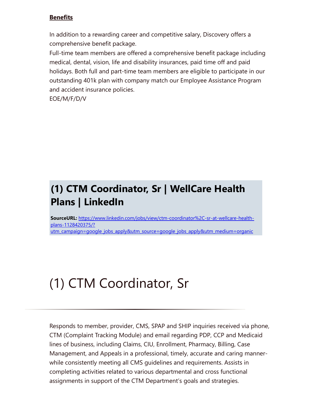#### **Benefits**

In addition to a rewarding career and competitive salary, Discovery offers a comprehensive benefit package.

Full-time team members are offered a comprehensive benefit package including medical, dental, vision, life and disability insurances, paid time off and paid holidays. Both full and part-time team members are eligible to participate in our outstanding 401k plan with company match our Employee Assistance Program and accident insurance policies.

EOE/M/F/D/V

### (1) CTM Coordinator, Sr | WellCare Health Plans | LinkedIn

SourceURL: https://www.linkedin.com/jobs/view/ctm-coordinator%2C-sr-at-wellcare-healthplans-1128420375/? [utm\\_campaign=google\\_jobs\\_apply&utm\\_source=google\\_jobs\\_apply&utm\\_medium=organic](https://www.linkedin.com/jobs/view/ctm-coordinator%2C-sr-at-wellcare-health-plans-1128420375/?utm_campaign=google_jobs_apply&utm_source=google_jobs_apply&utm_medium=organic)

# (1) CTM Coordinator, Sr

Responds to member, provider, CMS, SPAP and SHIP inquiries received via phone, CTM (Complaint Tracking Module) and email regarding PDP, CCP and Medicaid lines of business, including Claims, CIU, Enrollment, Pharmacy, Billing, Case Management, and Appeals in a professional, timely, accurate and caring mannerwhile consistently meeting all CMS guidelines and requirements. Assists in completing activities related to various departmental and cross functional assignments in support of the CTM Department's goals and strategies.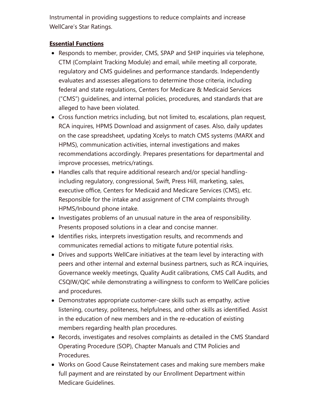Instrumental in providing suggestions to reduce complaints and increase WellCare's Star Ratings.

#### Essential Functions

- Responds to member, provider, CMS, SPAP and SHIP inquiries via telephone, CTM (Complaint Tracking Module) and email, while meeting all corporate, regulatory and CMS guidelines and performance standards. Independently evaluates and assesses allegations to determine those criteria, including federal and state regulations, Centers for Medicare & Medicaid Services ("CMS") guidelines, and internal policies, procedures, and standards that are alleged to have been violated.
- Cross function metrics including, but not limited to, escalations, plan request, RCA inquires, HPMS Download and assignment of cases. Also, daily updates on the case spreadsheet, updating Xcelys to match CMS systems (MARX and HPMS), communication activities, internal investigations and makes recommendations accordingly. Prepares presentations for departmental and improve processes, metrics/ratings.
- Handles calls that require additional research and/or special handlingincluding regulatory, congressional, Swift, Press Hill, marketing, sales, executive office, Centers for Medicaid and Medicare Services (CMS), etc. Responsible for the intake and assignment of CTM complaints through HPMS/Inbound phone intake.
- Investigates problems of an unusual nature in the area of responsibility. Presents proposed solutions in a clear and concise manner.
- Identifies risks, interprets investigation results, and recommends and communicates remedial actions to mitigate future potential risks.
- Drives and supports WellCare initiatives at the team level by interacting with peers and other internal and external business partners, such as RCA inquiries, Governance weekly meetings, Quality Audit calibrations, CMS Call Audits, and CSQIW/QIC while demonstrating a willingness to conform to WellCare policies and procedures.
- Demonstrates appropriate customer-care skills such as empathy, active listening, courtesy, politeness, helpfulness, and other skills as identified. Assist in the education of new members and in the re-education of existing members regarding health plan procedures.
- Records, investigates and resolves complaints as detailed in the CMS Standard Operating Procedure (SOP), Chapter Manuals and CTM Policies and Procedures.
- Works on Good Cause Reinstatement cases and making sure members make full payment and are reinstated by our Enrollment Department within Medicare Guidelines.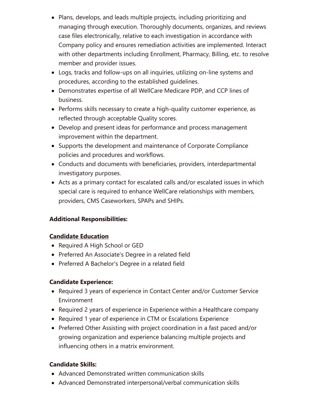- Plans, develops, and leads multiple projects, including prioritizing and managing through execution. Thoroughly documents, organizes, and reviews case files electronically, relative to each investigation in accordance with Company policy and ensures remediation activities are implemented. Interact with other departments including Enrollment, Pharmacy, Billing, etc. to resolve member and provider issues.
- Logs, tracks and follow-ups on all inquiries, utilizing on-line systems and procedures, according to the established guidelines.
- Demonstrates expertise of all WellCare Medicare PDP, and CCP lines of business.
- Performs skills necessary to create a high-quality customer experience, as reflected through acceptable Quality scores.
- Develop and present ideas for performance and process management improvement within the department.
- Supports the development and maintenance of Corporate Compliance policies and procedures and workflows.
- Conducts and documents with beneficiaries, providers, interdepartmental investigatory purposes.
- Acts as a primary contact for escalated calls and/or escalated issues in which special care is required to enhance WellCare relationships with members, providers, CMS Caseworkers, SPAPs and SHIPs.

#### Additional Responsibilities:

#### Candidate Education

- Required A High School or GED
- Preferred An Associate's Degree in a related field
- Preferred A Bachelor's Degree in a related field

#### Candidate Experience:

- Required 3 years of experience in Contact Center and/or Customer Service Environment
- Required 2 years of experience in Experience within a Healthcare company
- Required 1 year of experience in CTM or Escalations Experience
- Preferred Other Assisting with project coordination in a fast paced and/or growing organization and experience balancing multiple projects and influencing others in a matrix environment.

#### Candidate Skills:

- Advanced Demonstrated written communication skills
- Advanced Demonstrated interpersonal/verbal communication skills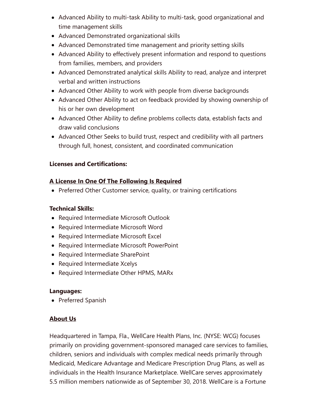- Advanced Ability to multi-task Ability to multi-task, good organizational and time management skills
- Advanced Demonstrated organizational skills
- Advanced Demonstrated time management and priority setting skills
- Advanced Ability to effectively present information and respond to questions from families, members, and providers
- Advanced Demonstrated analytical skills Ability to read, analyze and interpret verbal and written instructions
- Advanced Other Ability to work with people from diverse backgrounds
- Advanced Other Ability to act on feedback provided by showing ownership of his or her own development
- Advanced Other Ability to define problems collects data, establish facts and draw valid conclusions
- Advanced Other Seeks to build trust, respect and credibility with all partners through full, honest, consistent, and coordinated communication

#### Licenses and Certifications:

#### A License In One Of The Following Is Required

• Preferred Other Customer service, quality, or training certifications

#### Technical Skills:

- Required Intermediate Microsoft Outlook
- Required Intermediate Microsoft Word
- Required Intermediate Microsoft Excel
- Required Intermediate Microsoft PowerPoint
- Required Intermediate SharePoint
- Required Intermediate Xcelys
- Required Intermediate Other HPMS, MARx

#### Languages:

• Preferred Spanish

#### About Us

Headquartered in Tampa, Fla., WellCare Health Plans, Inc. (NYSE: WCG) focuses primarily on providing government-sponsored managed care services to families, children, seniors and individuals with complex medical needs primarily through Medicaid, Medicare Advantage and Medicare Prescription Drug Plans, as well as individuals in the Health Insurance Marketplace. WellCare serves approximately 5.5 million members nationwide as of September 30, 2018. WellCare is a Fortune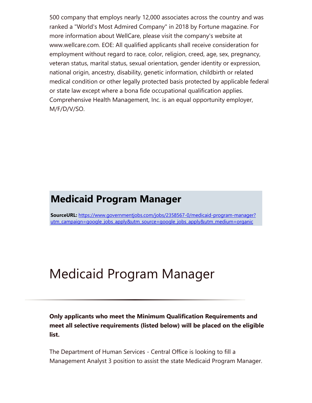500 company that employs nearly 12,000 associates across the country and was ranked a "World's Most Admired Company" in 2018 by Fortune magazine. For more information about WellCare, please visit the company's website at www.wellcare.com. EOE: All qualified applicants shall receive consideration for employment without regard to race, color, religion, creed, age, sex, pregnancy, veteran status, marital status, sexual orientation, gender identity or expression, national origin, ancestry, disability, genetic information, childbirth or related medical condition or other legally protected basis protected by applicable federal or state law except where a bona fide occupational qualification applies. Comprehensive Health Management, Inc. is an equal opportunity employer, M/F/D/V/SO.

### Medicaid Program Manager

SourceURL: https://www.governmentjobs.com/jobs/2358567-0/medicaid-program-manager? [utm\\_campaign=google\\_jobs\\_apply&utm\\_source=google\\_jobs\\_apply&utm\\_medium=organic](https://www.governmentjobs.com/jobs/2358567-0/medicaid-program-manager?utm_campaign=google_jobs_apply&utm_source=google_jobs_apply&utm_medium=organic)

# Medicaid Program Manager

Only applicants who meet the Minimum Qualification Requirements and meet all selective requirements (listed below) will be placed on the eligible list.

The Department of Human Services - Central Office is looking to fill a Management Analyst 3 position to assist the state Medicaid Program Manager.